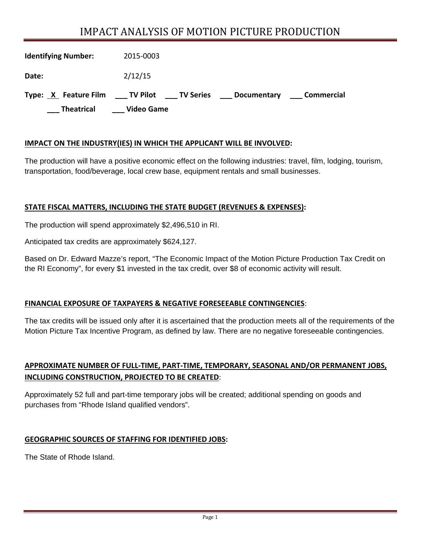# IMPACT ANALYSIS OF MOTION PICTURE PRODUCTION

| <b>Identifying Number:</b> | 2015-0003         |                |             |            |
|----------------------------|-------------------|----------------|-------------|------------|
| Date:                      | 2/12/15           |                |             |            |
| Type: X Feature Film       | ____ TV Pilot     | ____ TV Series | Documentary | Commercial |
| <b>Theatrical</b>          | <b>Video Game</b> |                |             |            |

## **IMPACT ON THE INDUSTRY(IES) IN WHICH THE APPLICANT WILL BE INVOLVED:**

The production will have a positive economic effect on the following industries: travel, film, lodging, tourism, transportation, food/beverage, local crew base, equipment rentals and small businesses.

#### **STATE FISCAL MATTERS, INCLUDING THE STATE BUDGET (REVENUES & EXPENSES):**

The production will spend approximately \$2,496,510 in RI.

Anticipated tax credits are approximately \$624,127.

Based on Dr. Edward Mazze's report, "The Economic Impact of the Motion Picture Production Tax Credit on the RI Economy", for every \$1 invested in the tax credit, over \$8 of economic activity will result.

## **FINANCIAL EXPOSURE OF TAXPAYERS & NEGATIVE FORESEEABLE CONTINGENCIES**:

The tax credits will be issued only after it is ascertained that the production meets all of the requirements of the Motion Picture Tax Incentive Program, as defined by law. There are no negative foreseeable contingencies.

# **APPROXIMATE NUMBER OF FULL‐TIME, PART‐TIME, TEMPORARY, SEASONAL AND/OR PERMANENT JOBS, INCLUDING CONSTRUCTION, PROJECTED TO BE CREATED**:

Approximately 52 full and part-time temporary jobs will be created; additional spending on goods and purchases from "Rhode Island qualified vendors".

## **GEOGRAPHIC SOURCES OF STAFFING FOR IDENTIFIED JOBS:**

The State of Rhode Island.